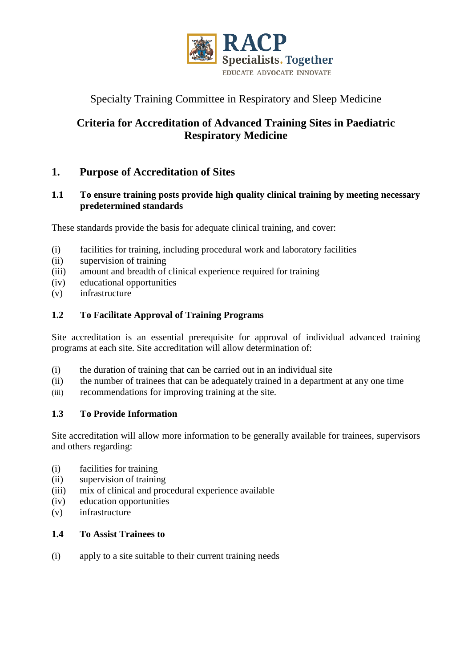

# Specialty Training Committee in Respiratory and Sleep Medicine

# **Criteria for Accreditation of Advanced Training Sites in Paediatric Respiratory Medicine**

# **1. Purpose of Accreditation of Sites**

### **1.1 To ensure training posts provide high quality clinical training by meeting necessary predetermined standards**

These standards provide the basis for adequate clinical training, and cover:

- (i) facilities for training, including procedural work and laboratory facilities
- (ii) supervision of training
- (iii) amount and breadth of clinical experience required for training
- (iv) educational opportunities
- (v) infrastructure

### **1.2 To Facilitate Approval of Training Programs**

Site accreditation is an essential prerequisite for approval of individual advanced training programs at each site. Site accreditation will allow determination of:

- (i) the duration of training that can be carried out in an individual site
- (ii) the number of trainees that can be adequately trained in a department at any one time
- (iii) recommendations for improving training at the site.

### **1.3 To Provide Information**

Site accreditation will allow more information to be generally available for trainees, supervisors and others regarding:

- (i) facilities for training
- (ii) supervision of training
- (iii) mix of clinical and procedural experience available
- (iv) education opportunities
- (v) infrastructure

## **1.4 To Assist Trainees to**

(i) apply to a site suitable to their current training needs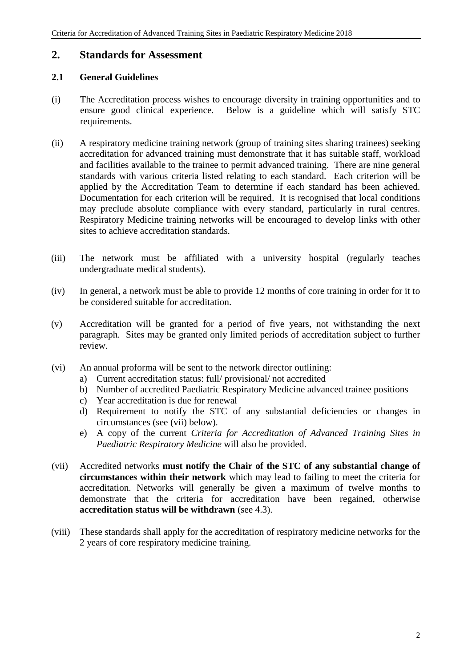### **2. Standards for Assessment**

#### **2.1 General Guidelines**

- (i) The Accreditation process wishes to encourage diversity in training opportunities and to ensure good clinical experience. Below is a guideline which will satisfy STC requirements.
- (ii) A respiratory medicine training network (group of training sites sharing trainees) seeking accreditation for advanced training must demonstrate that it has suitable staff, workload and facilities available to the trainee to permit advanced training. There are nine general standards with various criteria listed relating to each standard. Each criterion will be applied by the Accreditation Team to determine if each standard has been achieved. Documentation for each criterion will be required. It is recognised that local conditions may preclude absolute compliance with every standard, particularly in rural centres. Respiratory Medicine training networks will be encouraged to develop links with other sites to achieve accreditation standards.
- (iii) The network must be affiliated with a university hospital (regularly teaches undergraduate medical students).
- (iv) In general, a network must be able to provide 12 months of core training in order for it to be considered suitable for accreditation.
- (v) Accreditation will be granted for a period of five years, not withstanding the next paragraph. Sites may be granted only limited periods of accreditation subject to further review.
- (vi) An annual proforma will be sent to the network director outlining:
	- a) Current accreditation status: full/ provisional/ not accredited
	- b) Number of accredited Paediatric Respiratory Medicine advanced trainee positions
	- c) Year accreditation is due for renewal
	- d) Requirement to notify the STC of any substantial deficiencies or changes in circumstances (see (vii) below).
	- e) A copy of the current *Criteria for Accreditation of Advanced Training Sites in Paediatric Respiratory Medicine* will also be provided.
- (vii) Accredited networks **must notify the Chair of the STC of any substantial change of circumstances within their network** which may lead to failing to meet the criteria for accreditation. Networks will generally be given a maximum of twelve months to demonstrate that the criteria for accreditation have been regained, otherwise **accreditation status will be withdrawn** (see 4.3).
- (viii) These standards shall apply for the accreditation of respiratory medicine networks for the 2 years of core respiratory medicine training.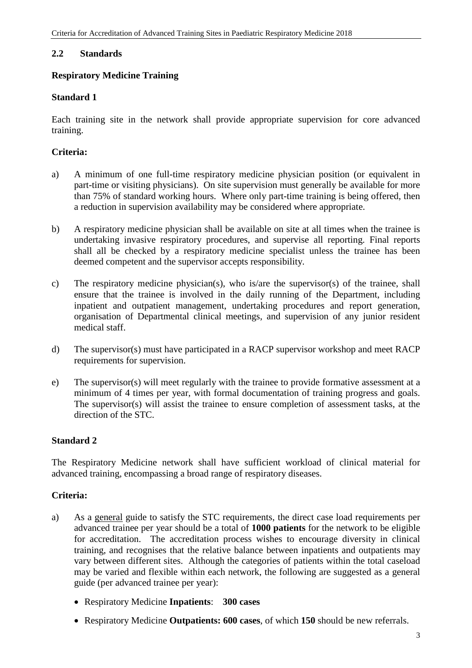### **2.2 Standards**

### **Respiratory Medicine Training**

### **Standard 1**

Each training site in the network shall provide appropriate supervision for core advanced training.

### **Criteria:**

- a) A minimum of one full-time respiratory medicine physician position (or equivalent in part-time or visiting physicians). On site supervision must generally be available for more than 75% of standard working hours. Where only part-time training is being offered, then a reduction in supervision availability may be considered where appropriate.
- b) A respiratory medicine physician shall be available on site at all times when the trainee is undertaking invasive respiratory procedures, and supervise all reporting. Final reports shall all be checked by a respiratory medicine specialist unless the trainee has been deemed competent and the supervisor accepts responsibility.
- c) The respiratory medicine physician(s), who is/are the supervisor(s) of the trainee, shall ensure that the trainee is involved in the daily running of the Department, including inpatient and outpatient management, undertaking procedures and report generation, organisation of Departmental clinical meetings, and supervision of any junior resident medical staff.
- d) The supervisor(s) must have participated in a RACP supervisor workshop and meet RACP requirements for supervision.
- e) The supervisor(s) will meet regularly with the trainee to provide formative assessment at a minimum of 4 times per year, with formal documentation of training progress and goals. The supervisor(s) will assist the trainee to ensure completion of assessment tasks, at the direction of the STC.

### **Standard 2**

The Respiratory Medicine network shall have sufficient workload of clinical material for advanced training, encompassing a broad range of respiratory diseases.

- a) As a general guide to satisfy the STC requirements, the direct case load requirements per advanced trainee per year should be a total of **1000 patients** for the network to be eligible for accreditation. The accreditation process wishes to encourage diversity in clinical training, and recognises that the relative balance between inpatients and outpatients may vary between different sites. Although the categories of patients within the total caseload may be varied and flexible within each network, the following are suggested as a general guide (per advanced trainee per year):
	- Respiratory Medicine **Inpatients**: **300 cases**
	- Respiratory Medicine **Outpatients: 600 cases**, of which **150** should be new referrals.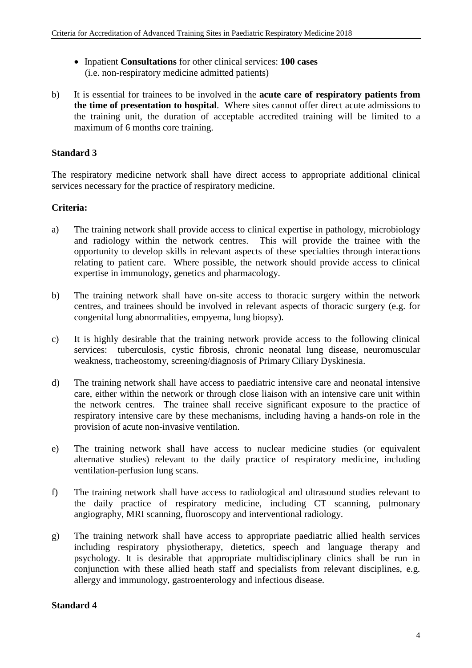- Inpatient **Consultations** for other clinical services: **100 cases** (i.e. non-respiratory medicine admitted patients)
- b) It is essential for trainees to be involved in the **acute care of respiratory patients from the time of presentation to hospital**. Where sites cannot offer direct acute admissions to the training unit, the duration of acceptable accredited training will be limited to a maximum of 6 months core training.

### **Standard 3**

The respiratory medicine network shall have direct access to appropriate additional clinical services necessary for the practice of respiratory medicine.

#### **Criteria:**

- a) The training network shall provide access to clinical expertise in pathology, microbiology and radiology within the network centres. This will provide the trainee with the opportunity to develop skills in relevant aspects of these specialties through interactions relating to patient care. Where possible, the network should provide access to clinical expertise in immunology, genetics and pharmacology.
- b) The training network shall have on-site access to thoracic surgery within the network centres, and trainees should be involved in relevant aspects of thoracic surgery (e.g. for congenital lung abnormalities, empyema, lung biopsy).
- c) It is highly desirable that the training network provide access to the following clinical services: tuberculosis, cystic fibrosis, chronic neonatal lung disease, neuromuscular weakness, tracheostomy, screening/diagnosis of Primary Ciliary Dyskinesia.
- d) The training network shall have access to paediatric intensive care and neonatal intensive care, either within the network or through close liaison with an intensive care unit within the network centres. The trainee shall receive significant exposure to the practice of respiratory intensive care by these mechanisms, including having a hands-on role in the provision of acute non-invasive ventilation.
- e) The training network shall have access to nuclear medicine studies (or equivalent alternative studies) relevant to the daily practice of respiratory medicine, including ventilation-perfusion lung scans.
- f) The training network shall have access to radiological and ultrasound studies relevant to the daily practice of respiratory medicine, including CT scanning, pulmonary angiography, MRI scanning, fluoroscopy and interventional radiology.
- g) The training network shall have access to appropriate paediatric allied health services including respiratory physiotherapy, dietetics, speech and language therapy and psychology. It is desirable that appropriate multidisciplinary clinics shall be run in conjunction with these allied heath staff and specialists from relevant disciplines, e.g. allergy and immunology, gastroenterology and infectious disease.

#### **Standard 4**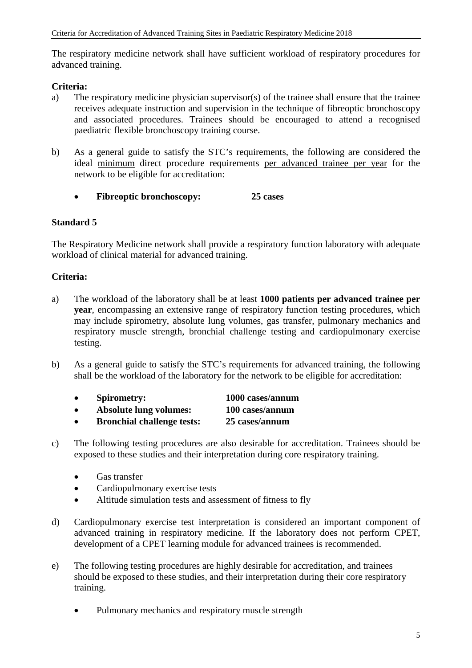The respiratory medicine network shall have sufficient workload of respiratory procedures for advanced training.

#### **Criteria:**

- a) The respiratory medicine physician supervisor(s) of the trainee shall ensure that the trainee receives adequate instruction and supervision in the technique of fibreoptic bronchoscopy and associated procedures. Trainees should be encouraged to attend a recognised paediatric flexible bronchoscopy training course.
- b) As a general guide to satisfy the STC's requirements, the following are considered the ideal minimum direct procedure requirements per advanced trainee per year for the network to be eligible for accreditation:
	- **Fibreoptic bronchoscopy: 25 cases**

#### **Standard 5**

The Respiratory Medicine network shall provide a respiratory function laboratory with adequate workload of clinical material for advanced training.

- a) The workload of the laboratory shall be at least **1000 patients per advanced trainee per year**, encompassing an extensive range of respiratory function testing procedures, which may include spirometry, absolute lung volumes, gas transfer, pulmonary mechanics and respiratory muscle strength, bronchial challenge testing and cardiopulmonary exercise testing.
- b) As a general guide to satisfy the STC's requirements for advanced training, the following shall be the workload of the laboratory for the network to be eligible for accreditation:

| $\bullet$ | <b>Spirometry:</b>                | 1000 cases/annum |
|-----------|-----------------------------------|------------------|
| $\bullet$ | <b>Absolute lung volumes:</b>     | 100 cases/annum  |
| $\bullet$ | <b>Bronchial challenge tests:</b> | 25 cases/annum   |

- c) The following testing procedures are also desirable for accreditation. Trainees should be exposed to these studies and their interpretation during core respiratory training.
	- Gas transfer
	- Cardiopulmonary exercise tests
	- Altitude simulation tests and assessment of fitness to fly
- d) Cardiopulmonary exercise test interpretation is considered an important component of advanced training in respiratory medicine. If the laboratory does not perform CPET, development of a CPET learning module for advanced trainees is recommended.
- e) The following testing procedures are highly desirable for accreditation, and trainees should be exposed to these studies, and their interpretation during their core respiratory training.
	- Pulmonary mechanics and respiratory muscle strength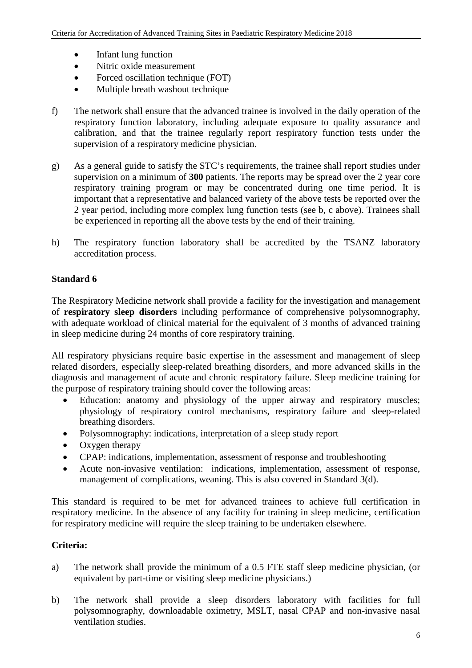- Infant lung function
- Nitric oxide measurement
- Forced oscillation technique (FOT)
- Multiple breath washout technique
- f) The network shall ensure that the advanced trainee is involved in the daily operation of the respiratory function laboratory, including adequate exposure to quality assurance and calibration, and that the trainee regularly report respiratory function tests under the supervision of a respiratory medicine physician.
- g) As a general guide to satisfy the STC's requirements, the trainee shall report studies under supervision on a minimum of **300** patients. The reports may be spread over the 2 year core respiratory training program or may be concentrated during one time period. It is important that a representative and balanced variety of the above tests be reported over the 2 year period, including more complex lung function tests (see b, c above). Trainees shall be experienced in reporting all the above tests by the end of their training.
- h) The respiratory function laboratory shall be accredited by the TSANZ laboratory accreditation process.

### **Standard 6**

The Respiratory Medicine network shall provide a facility for the investigation and management of **respiratory sleep disorders** including performance of comprehensive polysomnography, with adequate workload of clinical material for the equivalent of 3 months of advanced training in sleep medicine during 24 months of core respiratory training.

All respiratory physicians require basic expertise in the assessment and management of sleep related disorders, especially sleep-related breathing disorders, and more advanced skills in the diagnosis and management of acute and chronic respiratory failure. Sleep medicine training for the purpose of respiratory training should cover the following areas:

- Education: anatomy and physiology of the upper airway and respiratory muscles; physiology of respiratory control mechanisms, respiratory failure and sleep-related breathing disorders.
- Polysomnography: indications, interpretation of a sleep study report
- Oxygen therapy
- CPAP: indications, implementation, assessment of response and troubleshooting
- Acute non-invasive ventilation: indications, implementation, assessment of response, management of complications, weaning. This is also covered in Standard 3(d).

This standard is required to be met for advanced trainees to achieve full certification in respiratory medicine. In the absence of any facility for training in sleep medicine, certification for respiratory medicine will require the sleep training to be undertaken elsewhere.

- a) The network shall provide the minimum of a 0.5 FTE staff sleep medicine physician, (or equivalent by part-time or visiting sleep medicine physicians.)
- b) The network shall provide a sleep disorders laboratory with facilities for full polysomnography, downloadable oximetry, MSLT, nasal CPAP and non-invasive nasal ventilation studies.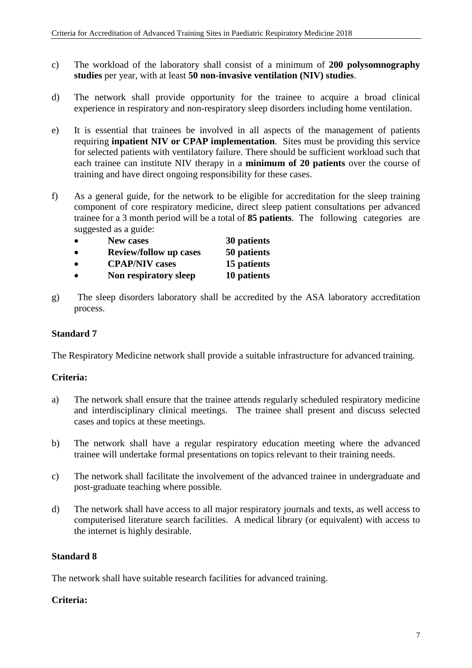- c) The workload of the laboratory shall consist of a minimum of **200 polysomnography studies** per year, with at least **50 non-invasive ventilation (NIV) studies**.
- d) The network shall provide opportunity for the trainee to acquire a broad clinical experience in respiratory and non-respiratory sleep disorders including home ventilation.
- e) It is essential that trainees be involved in all aspects of the management of patients requiring **inpatient NIV or CPAP implementation**. Sites must be providing this service for selected patients with ventilatory failure. There should be sufficient workload such that each trainee can institute NIV therapy in a **minimum of 20 patients** over the course of training and have direct ongoing responsibility for these cases.
- f) As a general guide, for the network to be eligible for accreditation for the sleep training component of core respiratory medicine, direct sleep patient consultations per advanced trainee for a 3 month period will be a total of **85 patients**. The following categories are suggested as a guide:

| $\bullet$ | <b>New cases</b>              | 30 patients |
|-----------|-------------------------------|-------------|
| $\bullet$ | <b>Review/follow up cases</b> | 50 patients |
| $\bullet$ | <b>CPAP/NIV</b> cases         | 15 patients |
| $\bullet$ | Non respiratory sleep         | 10 patients |

g) The sleep disorders laboratory shall be accredited by the ASA laboratory accreditation process.

### **Standard 7**

The Respiratory Medicine network shall provide a suitable infrastructure for advanced training.

### **Criteria:**

- a) The network shall ensure that the trainee attends regularly scheduled respiratory medicine and interdisciplinary clinical meetings. The trainee shall present and discuss selected cases and topics at these meetings.
- b) The network shall have a regular respiratory education meeting where the advanced trainee will undertake formal presentations on topics relevant to their training needs.
- c) The network shall facilitate the involvement of the advanced trainee in undergraduate and post-graduate teaching where possible.
- d) The network shall have access to all major respiratory journals and texts, as well access to computerised literature search facilities. A medical library (or equivalent) with access to the internet is highly desirable.

### **Standard 8**

The network shall have suitable research facilities for advanced training.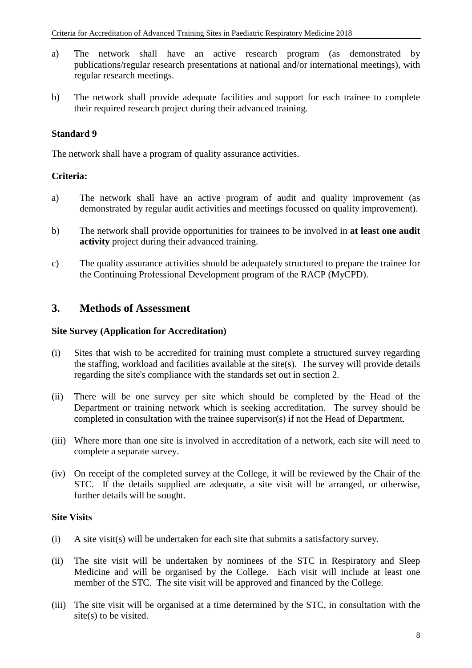- a) The network shall have an active research program (as demonstrated by publications/regular research presentations at national and/or international meetings), with regular research meetings.
- b) The network shall provide adequate facilities and support for each trainee to complete their required research project during their advanced training.

### **Standard 9**

The network shall have a program of quality assurance activities.

#### **Criteria:**

- a) The network shall have an active program of audit and quality improvement (as demonstrated by regular audit activities and meetings focussed on quality improvement).
- b) The network shall provide opportunities for trainees to be involved in **at least one audit activity** project during their advanced training.
- c) The quality assurance activities should be adequately structured to prepare the trainee for the Continuing Professional Development program of the RACP (MyCPD).

### **3. Methods of Assessment**

#### **Site Survey (Application for Accreditation)**

- (i) Sites that wish to be accredited for training must complete a structured survey regarding the staffing, workload and facilities available at the site(s). The survey will provide details regarding the site's compliance with the standards set out in section 2.
- (ii) There will be one survey per site which should be completed by the Head of the Department or training network which is seeking accreditation. The survey should be completed in consultation with the trainee supervisor(s) if not the Head of Department.
- (iii) Where more than one site is involved in accreditation of a network, each site will need to complete a separate survey.
- (iv) On receipt of the completed survey at the College, it will be reviewed by the Chair of the STC. If the details supplied are adequate, a site visit will be arranged, or otherwise, further details will be sought.

#### **Site Visits**

- (i) A site visit(s) will be undertaken for each site that submits a satisfactory survey.
- (ii) The site visit will be undertaken by nominees of the STC in Respiratory and Sleep Medicine and will be organised by the College. Each visit will include at least one member of the STC. The site visit will be approved and financed by the College.
- (iii) The site visit will be organised at a time determined by the STC, in consultation with the site(s) to be visited.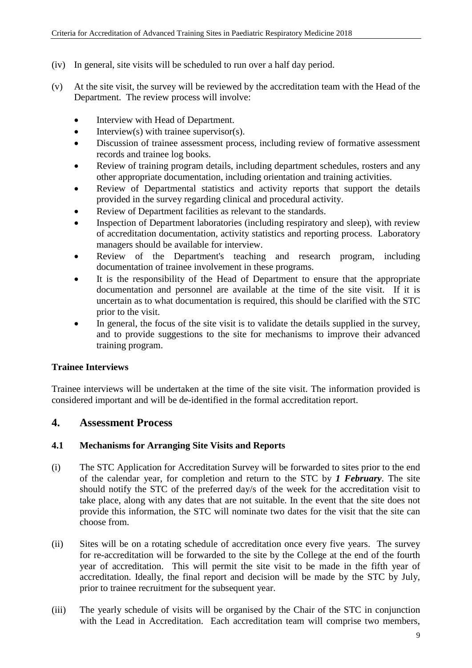- (iv) In general, site visits will be scheduled to run over a half day period.
- (v) At the site visit, the survey will be reviewed by the accreditation team with the Head of the Department. The review process will involve:
	- Interview with Head of Department.
	- Interview(s) with trainee supervisor(s).
	- Discussion of trainee assessment process, including review of formative assessment records and trainee log books.
	- Review of training program details, including department schedules, rosters and any other appropriate documentation, including orientation and training activities.
	- Review of Departmental statistics and activity reports that support the details provided in the survey regarding clinical and procedural activity.
	- Review of Department facilities as relevant to the standards.
	- Inspection of Department laboratories (including respiratory and sleep), with review of accreditation documentation, activity statistics and reporting process. Laboratory managers should be available for interview.
	- Review of the Department's teaching and research program, including documentation of trainee involvement in these programs.
	- It is the responsibility of the Head of Department to ensure that the appropriate documentation and personnel are available at the time of the site visit. If it is uncertain as to what documentation is required, this should be clarified with the STC prior to the visit.
	- In general, the focus of the site visit is to validate the details supplied in the survey, and to provide suggestions to the site for mechanisms to improve their advanced training program.

### **Trainee Interviews**

Trainee interviews will be undertaken at the time of the site visit. The information provided is considered important and will be de-identified in the formal accreditation report.

## **4. Assessment Process**

### **4.1 Mechanisms for Arranging Site Visits and Reports**

- (i) The STC Application for Accreditation Survey will be forwarded to sites prior to the end of the calendar year, for completion and return to the STC by *1 February*. The site should notify the STC of the preferred day/s of the week for the accreditation visit to take place, along with any dates that are not suitable. In the event that the site does not provide this information, the STC will nominate two dates for the visit that the site can choose from.
- (ii) Sites will be on a rotating schedule of accreditation once every five years. The survey for re-accreditation will be forwarded to the site by the College at the end of the fourth year of accreditation. This will permit the site visit to be made in the fifth year of accreditation. Ideally, the final report and decision will be made by the STC by July, prior to trainee recruitment for the subsequent year.
- (iii) The yearly schedule of visits will be organised by the Chair of the STC in conjunction with the Lead in Accreditation. Each accreditation team will comprise two members,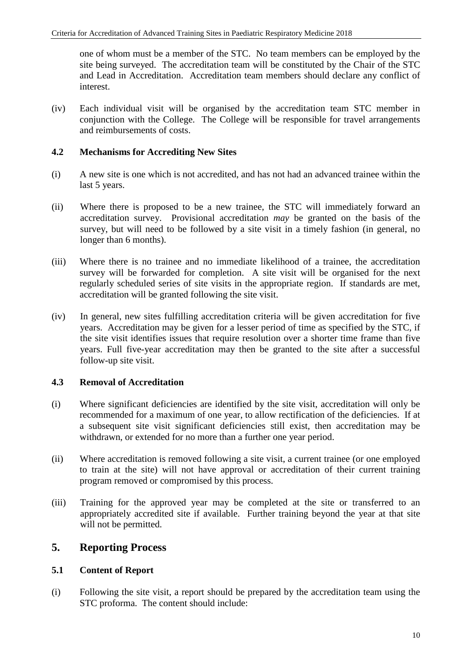one of whom must be a member of the STC. No team members can be employed by the site being surveyed. The accreditation team will be constituted by the Chair of the STC and Lead in Accreditation. Accreditation team members should declare any conflict of interest.

(iv) Each individual visit will be organised by the accreditation team STC member in conjunction with the College. The College will be responsible for travel arrangements and reimbursements of costs.

#### **4.2 Mechanisms for Accrediting New Sites**

- (i) A new site is one which is not accredited, and has not had an advanced trainee within the last 5 years.
- (ii) Where there is proposed to be a new trainee, the STC will immediately forward an accreditation survey. Provisional accreditation *may* be granted on the basis of the survey, but will need to be followed by a site visit in a timely fashion (in general, no longer than 6 months).
- (iii) Where there is no trainee and no immediate likelihood of a trainee, the accreditation survey will be forwarded for completion. A site visit will be organised for the next regularly scheduled series of site visits in the appropriate region. If standards are met, accreditation will be granted following the site visit.
- (iv) In general, new sites fulfilling accreditation criteria will be given accreditation for five years. Accreditation may be given for a lesser period of time as specified by the STC, if the site visit identifies issues that require resolution over a shorter time frame than five years. Full five-year accreditation may then be granted to the site after a successful follow-up site visit.

### **4.3 Removal of Accreditation**

- (i) Where significant deficiencies are identified by the site visit, accreditation will only be recommended for a maximum of one year, to allow rectification of the deficiencies. If at a subsequent site visit significant deficiencies still exist, then accreditation may be withdrawn, or extended for no more than a further one year period.
- (ii) Where accreditation is removed following a site visit, a current trainee (or one employed to train at the site) will not have approval or accreditation of their current training program removed or compromised by this process.
- (iii) Training for the approved year may be completed at the site or transferred to an appropriately accredited site if available. Further training beyond the year at that site will not be permitted.

## **5. Reporting Process**

### **5.1 Content of Report**

(i) Following the site visit, a report should be prepared by the accreditation team using the STC proforma. The content should include: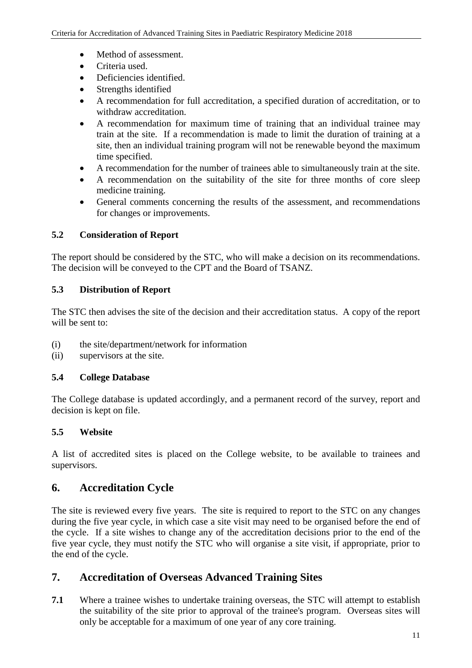- Method of assessment.
- Criteria used.
- Deficiencies identified.
- Strengths identified
- A recommendation for full accreditation, a specified duration of accreditation, or to withdraw accreditation.
- A recommendation for maximum time of training that an individual trainee may train at the site. If a recommendation is made to limit the duration of training at a site, then an individual training program will not be renewable beyond the maximum time specified.
- A recommendation for the number of trainees able to simultaneously train at the site.
- A recommendation on the suitability of the site for three months of core sleep medicine training.
- General comments concerning the results of the assessment, and recommendations for changes or improvements.

### **5.2 Consideration of Report**

The report should be considered by the STC, who will make a decision on its recommendations. The decision will be conveyed to the CPT and the Board of TSANZ.

### **5.3 Distribution of Report**

The STC then advises the site of the decision and their accreditation status. A copy of the report will be sent to:

- (i) the site/department/network for information
- (ii) supervisors at the site.

## **5.4 College Database**

The College database is updated accordingly, and a permanent record of the survey, report and decision is kept on file.

## **5.5 Website**

A list of accredited sites is placed on the College website, to be available to trainees and supervisors.

# **6. Accreditation Cycle**

The site is reviewed every five years. The site is required to report to the STC on any changes during the five year cycle, in which case a site visit may need to be organised before the end of the cycle. If a site wishes to change any of the accreditation decisions prior to the end of the five year cycle, they must notify the STC who will organise a site visit, if appropriate, prior to the end of the cycle.

# **7. Accreditation of Overseas Advanced Training Sites**

**7.1** Where a trainee wishes to undertake training overseas, the STC will attempt to establish the suitability of the site prior to approval of the trainee's program. Overseas sites will only be acceptable for a maximum of one year of any core training.